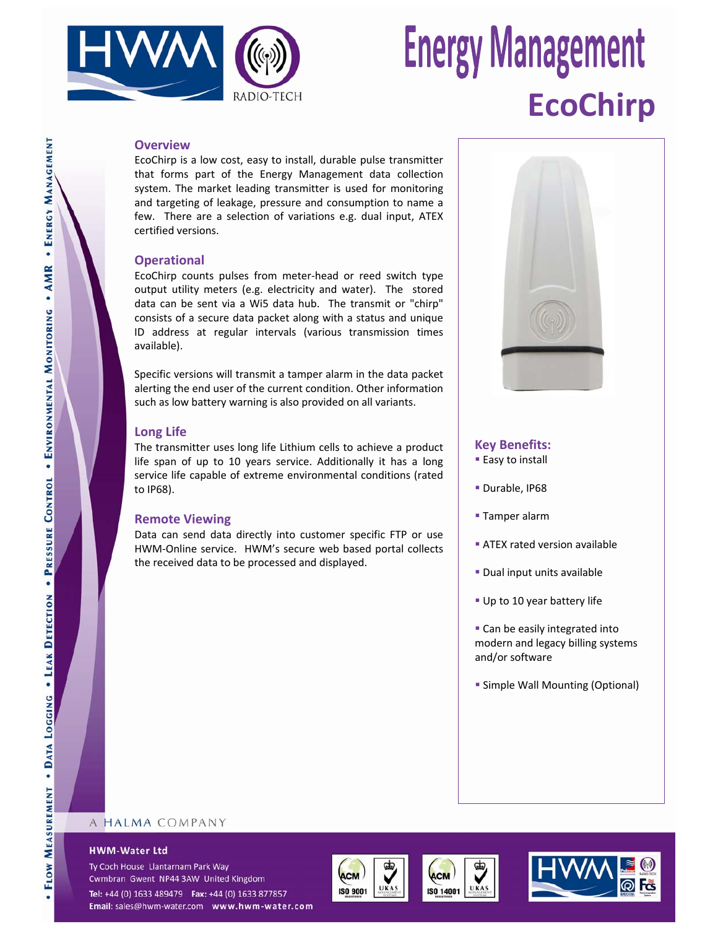

## **Energy Management EcoChirp**

#### **Overview**

EcoChirp is a low cost, easy to install, durable pulse transmitter that forms part of the Energy Management data collection system. The market leading transmitter is used for monitoring and targeting of leakage, pressure and consumption to name a few. There are a selection of variations e.g. dual input, ATEX certified versions.

### **Operational**

EcoChirp counts pulses from meter‐head or reed switch type output utility meters (e.g. electricity and water). The stored data can be sent via a Wi5 data hub. The transmit or "chirp" consists of a secure data packet along with a status and unique ID address at regular intervals (various transmission times available).

Specific versions will transmit a tamper alarm in the data packet alerting the end user of the current condition. Other information such as low battery warning is also provided on all variants.

## **Long Life**

The transmitter uses long life Lithium cells to achieve a product life span of up to 10 years service. Additionally it has a long service life capable of extreme environmental conditions (rated to IP68).

#### **Remote Viewing**

Data can send data directly into customer specific FTP or use HWM‐Online service. HWM's secure web based portal collects the received data to be processed and displayed.



## **Key Benefits:**

**Easy to install** 

- Durable, IP68
- **Tamper alarm**
- **ATEX rated version available**
- Dual input units available
- Up to 10 year battery life
- Can be easily integrated into modern and legacy billing systems and/or software
- **Simple Wall Mounting (Optional)**

#### **HWM-Water Ltd**

Ty Coch House Llantarnam Park Way Cwmbran Gwent NP44 3AW United Kingdom

Tel: +44 (0) 1633 489479 Fax: +44 (0) 1633 877857 Email: sales@hwm-water.com www.hwm-water.com